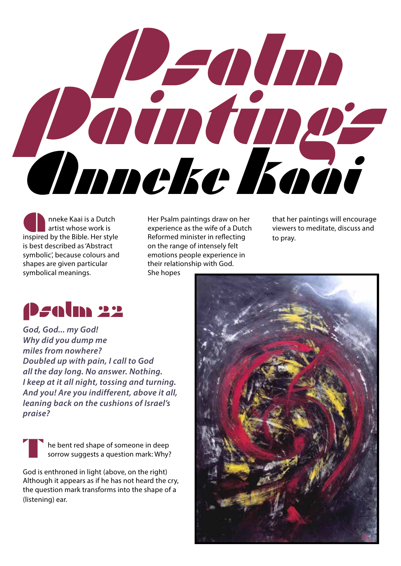

nneke Kaai is a Dutch artist whose work is inspired by the Bible. Her style is best described as 'Abstract symbolic', because colours and shapes are given particular symbolical meanings.

**A Her Psalm paintings draw on her artist whose work is**<br>
inspired by the Bible. Her style **A Her Style Style Style A Her Style A Her Style** Reformed minister in reflecting experience as the wife of a Dutch Reformed minister in reflecting on the range of intensely felt emotions people experience in their relationship with God. She hopes

that her paintings will encourage viewers to meditate, discuss and to pray.

## Psalm 22

*God, God... my God! Why did you dump me miles from nowhere? Doubled up with pain, I call to God all the day long. No answer. Nothing. I keep at it all night, tossing and turning. And you! Are you indifferent, above it all, leaning back on the cushions of Israel's praise?*

he bent red shape of someone in deep sorrow suggests a question mark: Why? T

God is enthroned in light (above, on the right) Although it appears as if he has not heard the cry, the question mark transforms into the shape of a (listening) ear.